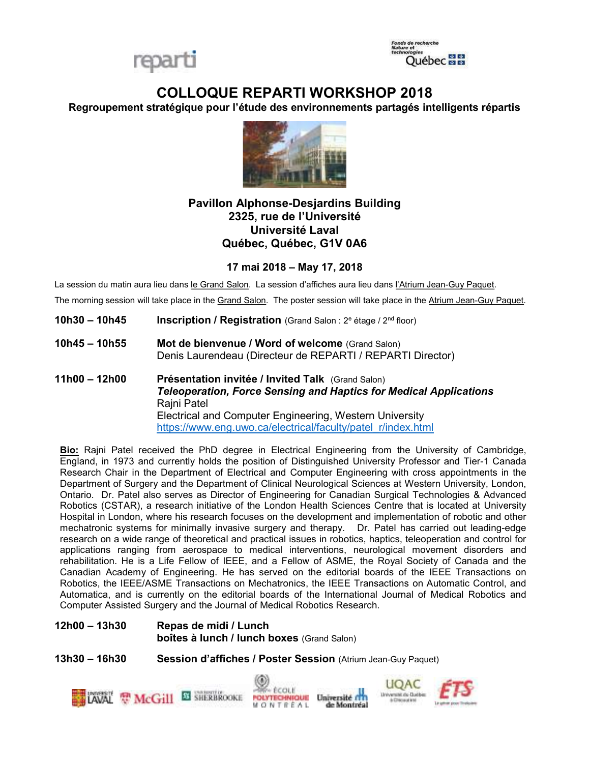



# COLLOQUE REPARTI WORKSHOP 2018

Regroupement stratégique pour l'étude des environnements partagés intelligents répartis



## Pavillon Alphonse-Desjardins Building 2325, rue de l'Université Université Laval Québec, Québec, G1V 0A6

### 17 mai 2018 – May 17, 2018

La session du matin aura lieu dans le Grand Salon. La session d'affiches aura lieu dans l'Atrium Jean-Guy Paquet.

The morning session will take place in the Grand Salon. The poster session will take place in the Atrium Jean-Guy Paquet.

- **10h30 10h45** Inscription / Registration (Grand Salon :  $2^e$  étage /  $2^{nd}$  floor)
- 10h45 10h55 Mot de bienvenue / Word of welcome (Grand Salon) Denis Laurendeau (Directeur de REPARTI / REPARTI Director)
- 11h00 12h00 Présentation invitée / Invited Talk (Grand Salon) Teleoperation, Force Sensing and Haptics for Medical Applications Rajni Patel Electrical and Computer Engineering, Western University https://www.eng.uwo.ca/electrical/faculty/patel\_r/index.html

Bio: Rajni Patel received the PhD degree in Electrical Engineering from the University of Cambridge, England, in 1973 and currently holds the position of Distinguished University Professor and Tier-1 Canada Research Chair in the Department of Electrical and Computer Engineering with cross appointments in the Department of Surgery and the Department of Clinical Neurological Sciences at Western University, London, Ontario. Dr. Patel also serves as Director of Engineering for Canadian Surgical Technologies & Advanced Robotics (CSTAR), a research initiative of the London Health Sciences Centre that is located at University Hospital in London, where his research focuses on the development and implementation of robotic and other mechatronic systems for minimally invasive surgery and therapy. Dr. Patel has carried out leading-edge research on a wide range of theoretical and practical issues in robotics, haptics, teleoperation and control for applications ranging from aerospace to medical interventions, neurological movement disorders and rehabilitation. He is a Life Fellow of IEEE, and a Fellow of ASME, the Royal Society of Canada and the Canadian Academy of Engineering. He has served on the editorial boards of the IEEE Transactions on Robotics, the IEEE/ASME Transactions on Mechatronics, the IEEE Transactions on Automatic Control, and Automatica, and is currently on the editorial boards of the International Journal of Medical Robotics and Computer Assisted Surgery and the Journal of Medical Robotics Research.

12h00 – 13h30 Repas de midi / Lunch boîtes à lunch / lunch boxes (Grand Salon)

13h30 – 16h30 Session d'affiches / Poster Session (Atrium Jean-Guy Paquet)

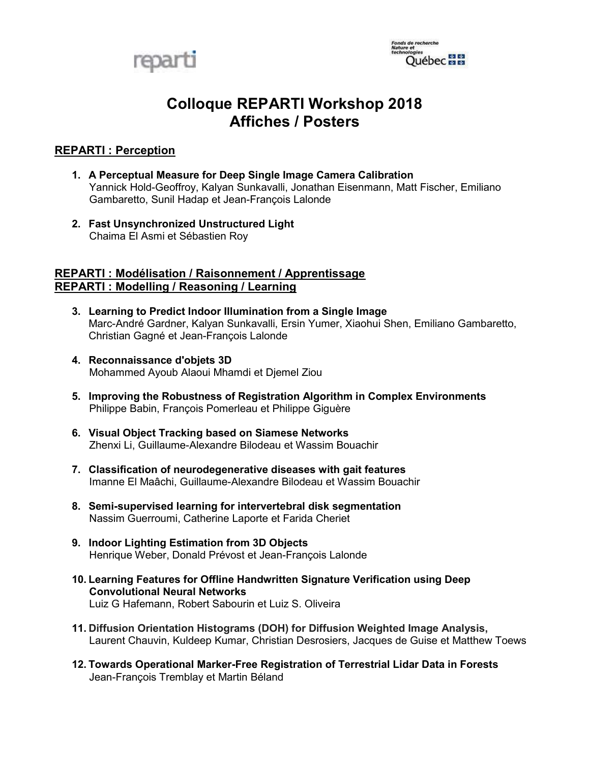

# Colloque REPARTI Workshop 2018 Affiches / Posters

### REPARTI : Perception

- 1. A Perceptual Measure for Deep Single Image Camera Calibration Yannick Hold-Geoffroy, Kalyan Sunkavalli, Jonathan Eisenmann, Matt Fischer, Emiliano Gambaretto, Sunil Hadap et Jean-François Lalonde
- 2. Fast Unsynchronized Unstructured Light Chaima El Asmi et Sébastien Roy

### REPARTI : Modélisation / Raisonnement / Apprentissage REPARTI : Modelling / Reasoning / Learning

- 3. Learning to Predict Indoor Illumination from a Single Image Marc-André Gardner, Kalyan Sunkavalli, Ersin Yumer, Xiaohui Shen, Emiliano Gambaretto, Christian Gagné et Jean-François Lalonde
- 4. Reconnaissance d'objets 3D Mohammed Ayoub Alaoui Mhamdi et Djemel Ziou
- 5. Improving the Robustness of Registration Algorithm in Complex Environments Philippe Babin, François Pomerleau et Philippe Giguère
- 6. Visual Object Tracking based on Siamese Networks Zhenxi Li, Guillaume-Alexandre Bilodeau et Wassim Bouachir
- 7. Classification of neurodegenerative diseases with gait features Imanne El Maâchi, Guillaume-Alexandre Bilodeau et Wassim Bouachir
- 8. Semi-supervised learning for intervertebral disk segmentation Nassim Guerroumi, Catherine Laporte et Farida Cheriet
- 9. Indoor Lighting Estimation from 3D Objects Henrique Weber, Donald Prévost et Jean-François Lalonde
- 10. Learning Features for Offline Handwritten Signature Verification using Deep Convolutional Neural Networks Luiz G Hafemann, Robert Sabourin et Luiz S. Oliveira
- 11. Diffusion Orientation Histograms (DOH) for Diffusion Weighted Image Analysis, Laurent Chauvin, Kuldeep Kumar, Christian Desrosiers, Jacques de Guise et Matthew Toews
- 12. Towards Operational Marker-Free Registration of Terrestrial Lidar Data in Forests Jean-François Tremblay et Martin Béland